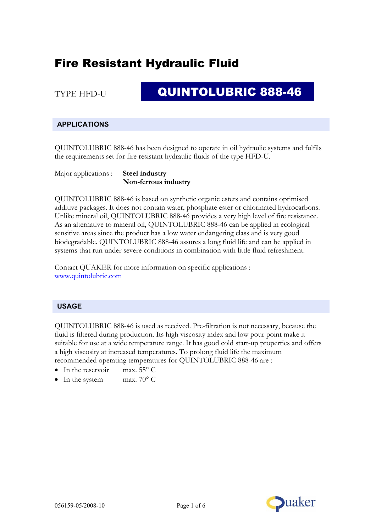TYPE HFD-U

## QUINTOLUBRIC 888-46

### **APPLICATIONS**

QUINTOLUBRIC 888-46 has been designed to operate in oil hydraulic systems and fulfils the requirements set for fire resistant hydraulic fluids of the type HFD-U.

Major applications : **Steel industry Non-ferrous industry**

QUINTOLUBRIC 888-46 is based on synthetic organic esters and contains optimised additive packages. It does not contain water, phosphate ester or chlorinated hydrocarbons. Unlike mineral oil, QUINTOLUBRIC 888-46 provides a very high level of fire resistance. As an alternative to mineral oil, QUINTOLUBRIC 888-46 can be applied in ecological sensitive areas since the product has a low water endangering class and is very good biodegradable. QUINTOLUBRIC 888-46 assures a long fluid life and can be applied in systems that run under severe conditions in combination with little fluid refreshment.

Contact QUAKER for more information on specific applications : www.quintolubric.com

#### **USAGE**

QUINTOLUBRIC 888-46 is used as received. Pre-filtration is not necessary, because the fluid is filtered during production. Its high viscosity index and low pour point make it suitable for use at a wide temperature range. It has good cold start-up properties and offers a high viscosity at increased temperatures. To prolong fluid life the maximum recommended operating temperatures for QUINTOLUBRIC 888-46 are :

- In the reservoir max.  $55^{\circ}$  C
- In the system max. 70° C

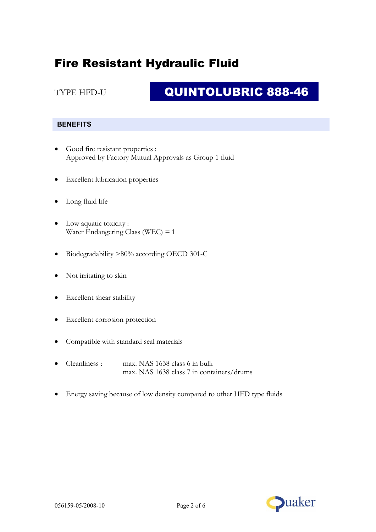### TYPE HFD-U

# QUINTOLUBRIC 888-46

### **BENEFITS**

- Good fire resistant properties : Approved by Factory Mutual Approvals as Group 1 fluid
- Excellent lubrication properties
- Long fluid life
- Low aquatic toxicity : Water Endangering Class (WEC) = 1
- Biodegradability >80% according OECD 301-C
- Not irritating to skin
- Excellent shear stability
- Excellent corrosion protection
- Compatible with standard seal materials
- Cleanliness : max. NAS 1638 class 6 in bulk max. NAS 1638 class 7 in containers/drums
- Energy saving because of low density compared to other HFD type fluids

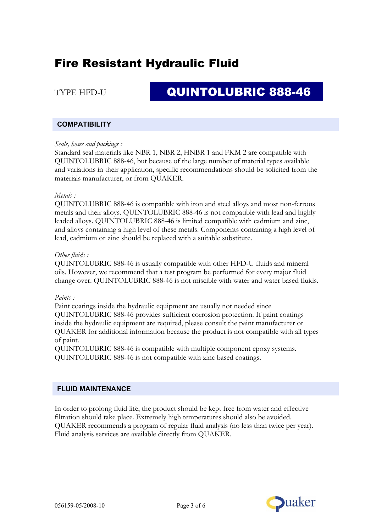### TYPE HFD-U

# QUINTOLUBRIC 888-46

#### **COMPATIBILITY**

#### *Seals, hoses and packings :*

Standard seal materials like NBR 1, NBR 2, HNBR 1 and FKM 2 are compatible with QUINTOLUBRIC 888-46, but because of the large number of material types available and variations in their application, specific recommendations should be solicited from the materials manufacturer, or from QUAKER.

#### *Metals :*

QUINTOLUBRIC 888-46 is compatible with iron and steel alloys and most non-ferrous metals and their alloys. QUINTOLUBRIC 888-46 is not compatible with lead and highly leaded alloys. QUINTOLUBRIC 888-46 is limited compatible with cadmium and zinc, and alloys containing a high level of these metals. Components containing a high level of lead, cadmium or zinc should be replaced with a suitable substitute.

#### *Other fluids :*

QUINTOLUBRIC 888-46 is usually compatible with other HFD-U fluids and mineral oils. However, we recommend that a test program be performed for every major fluid change over. QUINTOLUBRIC 888-46 is not miscible with water and water based fluids.

#### *Paints :*

Paint coatings inside the hydraulic equipment are usually not needed since QUINTOLUBRIC 888-46 provides sufficient corrosion protection. If paint coatings inside the hydraulic equipment are required, please consult the paint manufacturer or QUAKER for additional information because the product is not compatible with all types of paint.

QUINTOLUBRIC 888-46 is compatible with multiple component epoxy systems. QUINTOLUBRIC 888-46 is not compatible with zinc based coatings.

#### **FLUID MAINTENANCE**

In order to prolong fluid life, the product should be kept free from water and effective filtration should take place. Extremely high temperatures should also be avoided. QUAKER recommends a program of regular fluid analysis (no less than twice per year). Fluid analysis services are available directly from QUAKER.

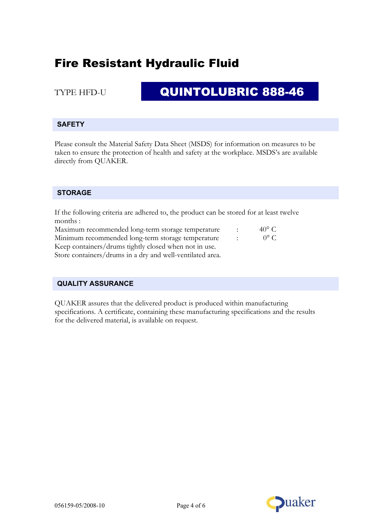### TYPE HFD-U

# QUINTOLUBRIC 888-46

### **SAFETY**

Please consult the Material Safety Data Sheet (MSDS) for information on measures to be taken to ensure the protection of health and safety at the workplace. MSDS's are available directly from QUAKER.

### **STORAGE**

If the following criteria are adhered to, the product can be stored for at least twelve months :

| Maximum recommended long-term storage temperature     | $\sim$ 1.1      | $40^{\circ}$ C |
|-------------------------------------------------------|-----------------|----------------|
| Minimum recommended long-term storage temperature     | <b>Contract</b> | $0^{\circ}$ C  |
| Keep containers/drums tightly closed when not in use. |                 |                |
| $C_1$ , $1$ , $1$ , $1$ , $11$ , $11$                 |                 |                |

Store containers/drums in a dry and well-ventilated area.

#### **QUALITY ASSURANCE**

QUAKER assures that the delivered product is produced within manufacturing specifications. A certificate, containing these manufacturing specifications and the results for the delivered material, is available on request.

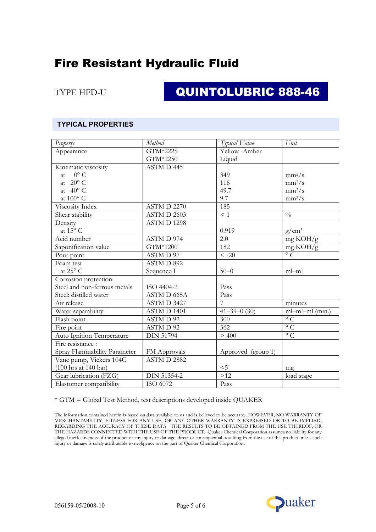TYPE HFD-U

# QUINTOLUBRIC 888-46

#### **TYPICAL PROPERTIES**

| Property                     | Method                   | Typical Value      | Unit                 |
|------------------------------|--------------------------|--------------------|----------------------|
| Appearance                   | GTM*2225                 | Yellow -Amber      |                      |
|                              | GTM*2250                 | Liquid             |                      |
| Kinematic viscosity          | ASTM D 445               |                    |                      |
| at $0^{\circ}$ C             |                          | 349                | $mm^2/s$             |
| at $20^{\circ}$ C            |                          | 116                | $mm^2/s$             |
| at $40^{\circ}$ C            |                          | 49.7               | $mm^2/s$             |
| at 100° C                    |                          | 9.7                | $mm^2/s$             |
| Viscosity Index              | ASTM D 2270              | 185                |                      |
| Shear stability              | ASTM D 2603              | $\leq 1$           | $\frac{0}{0}$        |
| Density                      | ASTMD 1298               |                    |                      |
| at $15^{\sf o}$ C            |                          | 0.919              | $g/cm^3$             |
| Acid number                  | ASTM D 974               | 2.0                | mg KOH/g             |
| Saponification value         | $\overline{GTM^{*}1200}$ | 182                | mg KOH/g             |
| Pour point                   | ASTMD 97                 | $\leq -20$         | $\overline{\circ}$ C |
| Foam test                    | ASTM D 892               |                    |                      |
| at $25^{\sf o}$ C            | Sequence I               | $50 - 0$           | ml-ml                |
| Corrosion protection:        |                          |                    |                      |
| Steel and non-ferrous metals | ISO 4404-2               | Pass               |                      |
| Steel: distilled water       | ASTM D 665A              | Pass               |                      |
| Air release                  | ASTM D 3427              | $\overline{7}$     | minutes              |
| Water separability           | ASTM D 1401              | $41 - 39 - 0$ (30) | ml-ml-ml (min.)      |
| Flash point                  | ASTMD 92                 | 300                | $\overline{\circ}$ C |
| Fire point                   | ASTMD 92                 | 362                | $\circ$ C            |
| Auto Ignition Temperature    | <b>DIN 51794</b>         | > 400              | $\overline{C}$       |
| Fire resistance :            |                          |                    |                      |
| Spray Flammability Parameter | FM Approvals             | Approved (group 1) |                      |
| Vane pump, Vickers 104C      | ASTM D 2882              |                    |                      |
| (100 hrs at 140 bar)         |                          | $<$ 5              | mg                   |
| Gear lubrication (FZG)       | <b>DIN 51354-2</b>       | $>12$              | load stage           |
| Elastomer compatibility      | ISO 6072                 | Pass               |                      |

\* GTM = Global Test Method, test descriptions developed inside QUAKER

The information contained herein is based on data available to us and is believed to be accurate. HOWEVER, NO WARRANTY OF MERCHANTABILITY, FITNESS FOR ANY USE, OR ANY OTHER WARRANTY IS EXPRESSED OR TO BE IMPLIED, REGARDING THE ACCURACY OF THESE DATA. THE RESULTS TO BE OBTAINED FROM THE USE THEREOF, OR THE HAZARDS CONNECTED WITH THE USE OF THE PRODUCT. Quaker Chemical Corporation assumes no liability for any alleged ineffectiveness of the product or any injury or damage, direct or consequential, resulting from the use of this product unless such injury or damage is solely attributable to negligence on the part of Quaker Chemical Corporation.